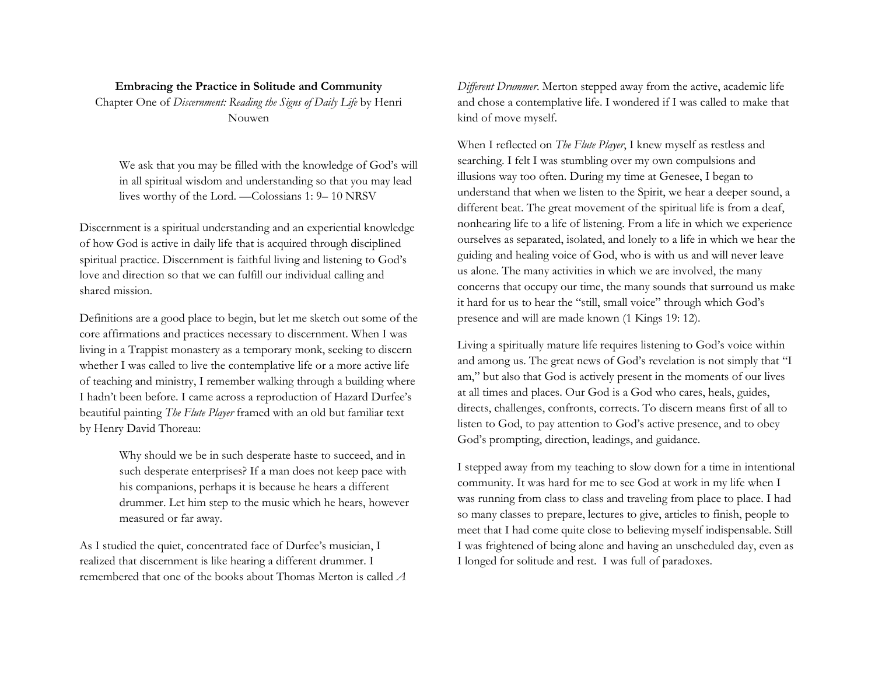#### **Embracing the Practice in Solitude and Community**

Chapter One of *Discernment: Reading the Signs of Daily Life* by Henri Nouwen

We ask that you may be filled with the knowledge of God's will in all spiritual wisdom and understanding so that you may lead lives worthy of the Lord. —Colossians 1: 9– 10 NRSV

Discernment is a spiritual understanding and an experiential knowledge of how God is active in daily life that is acquired through disciplined spiritual practice. Discernment is faithful living and listening to God's love and direction so that we can fulfill our individual calling and shared mission.

Definitions are a good place to begin, but let me sketch out some of the core affirmations and practices necessary to discernment. When I was living in a Trappist monastery as a temporary monk, seeking to discern whether I was called to live the contemplative life or a more active life of teaching and ministry, I remember walking through a building where I hadn't been before. I came across a reproduction of Hazard Durfee's beautiful painting *The Flute Player* framed with an old but familiar text by Henry David Thoreau:

> Why should we be in such desperate haste to succeed, and in such desperate enterprises? If a man does not keep pace with his companions, perhaps it is because he hears a different drummer. Let him step to the music which he hears, however measured or far away.

As I studied the quiet, concentrated face of Durfee's musician, I realized that discernment is like hearing a different drummer. I remembered that one of the books about Thomas Merton is called *A*  *Different Drummer*. Merton stepped away from the active, academic life and chose a contemplative life. I wondered if I was called to make that kind of move myself.

When I reflected on *The Flute Player*, I knew myself as restless and searching. I felt I was stumbling over my own compulsions and illusions way too often. During my time at Genesee, I began to understand that when we listen to the Spirit, we hear a deeper sound, a different beat. The great movement of the spiritual life is from a deaf, nonhearing life to a life of listening. From a life in which we experience ourselves as separated, isolated, and lonely to a life in which we hear the guiding and healing voice of God, who is with us and will never leave us alone. The many activities in which we are involved, the many concerns that occupy our time, the many sounds that surround us make it hard for us to hear the "still, small voice" through which God's presence and will are made known (1 Kings 19: 12).

Living a spiritually mature life requires listening to God's voice within and among us. The great news of God's revelation is not simply that "I am," but also that God is actively present in the moments of our lives at all times and places. Our God is a God who cares, heals, guides, directs, challenges, confronts, corrects. To discern means first of all to listen to God, to pay attention to God's active presence, and to obey God's prompting, direction, leadings, and guidance.

I stepped away from my teaching to slow down for a time in intentional community. It was hard for me to see God at work in my life when I was running from class to class and traveling from place to place. I had so many classes to prepare, lectures to give, articles to finish, people to meet that I had come quite close to believing myself indispensable. Still I was frightened of being alone and having an unscheduled day, even as I longed for solitude and rest. I was full of paradoxes.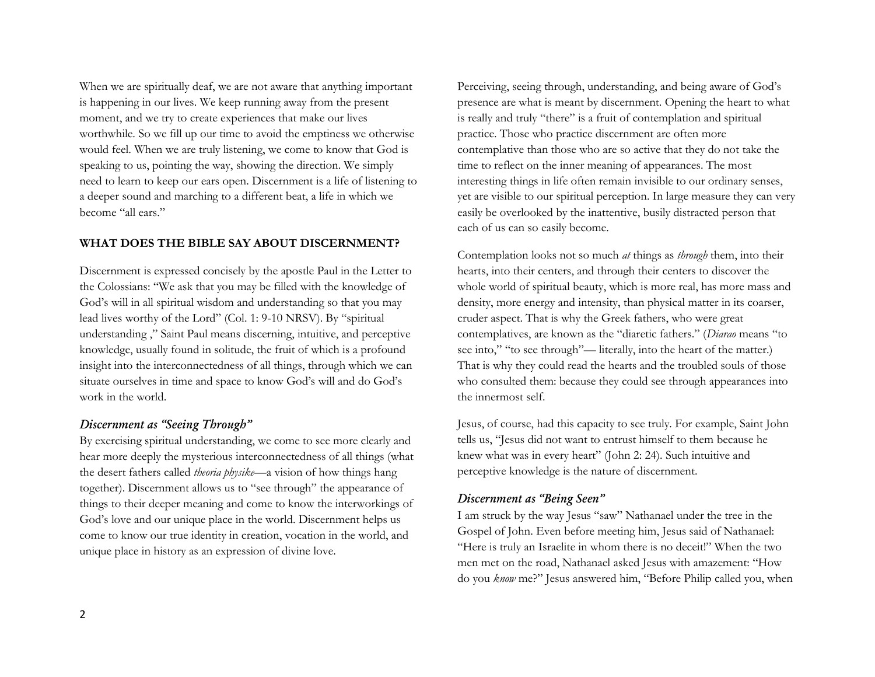When we are spiritually deaf, we are not aware that anything important is happening in our lives. We keep running away from the present moment, and we try to create experiences that make our lives worthwhile. So we fill up our time to avoid the emptiness we otherwise would feel. When we are truly listening, we come to know that God is speaking to us, pointing the way, showing the direction. We simply need to learn to keep our ears open. Discernment is a life of listening to a deeper sound and marching to a different beat, a life in which we become "all ears."

# **WHAT DOES THE BIBLE SAY ABOUT DISCERNMENT?**

Discernment is expressed concisely by the apostle Paul in the Letter to the Colossians: "We ask that you may be filled with the knowledge of God's will in all spiritual wisdom and understanding so that you may lead lives worthy of the Lord" (Col. 1: 9-10 NRSV). By "spiritual understanding ," Saint Paul means discerning, intuitive, and perceptive knowledge, usually found in solitude, the fruit of which is a profound insight into the interconnectedness of all things, through which we can situate ourselves in time and space to know God's will and do God's work in the world.

# *Discernment as "Seeing Through"*

By exercising spiritual understanding, we come to see more clearly and hear more deeply the mysterious interconnectedness of all things (what the desert fathers called *theoria physike*—a vision of how things hang together). Discernment allows us to "see through" the appearance of things to their deeper meaning and come to know the interworkings of God's love and our unique place in the world. Discernment helps us come to know our true identity in creation, vocation in the world, and unique place in history as an expression of divine love.

Perceiving, seeing through, understanding, and being aware of God's presence are what is meant by discernment. Opening the heart to what is really and truly "there" is a fruit of contemplation and spiritual practice. Those who practice discernment are often more contemplative than those who are so active that they do not take the time to reflect on the inner meaning of appearances. The most interesting things in life often remain invisible to our ordinary senses, yet are visible to our spiritual perception. In large measure they can very easily be overlooked by the inattentive, busily distracted person that each of us can so easily become.

Contemplation looks not so much *at* things as *through* them, into their hearts, into their centers, and through their centers to discover the whole world of spiritual beauty, which is more real, has more mass and density, more energy and intensity, than physical matter in its coarser, cruder aspect. That is why the Greek fathers, who were great contemplatives, are known as the "diaretic fathers." (*Diarao* means "to see into," "to see through"— literally, into the heart of the matter.) That is why they could read the hearts and the troubled souls of those who consulted them: because they could see through appearances into the innermost self.

Jesus, of course, had this capacity to see truly. For example, Saint John tells us, "Jesus did not want to entrust himself to them because he knew what was in every heart" (John 2: 24). Such intuitive and perceptive knowledge is the nature of discernment.

## *Discernment as "Being Seen"*

I am struck by the way Jesus "saw" Nathanael under the tree in the Gospel of John. Even before meeting him, Jesus said of Nathanael: "Here is truly an Israelite in whom there is no deceit!" When the two men met on the road, Nathanael asked Jesus with amazement: "How do you *know* me?" Jesus answered him, "Before Philip called you, when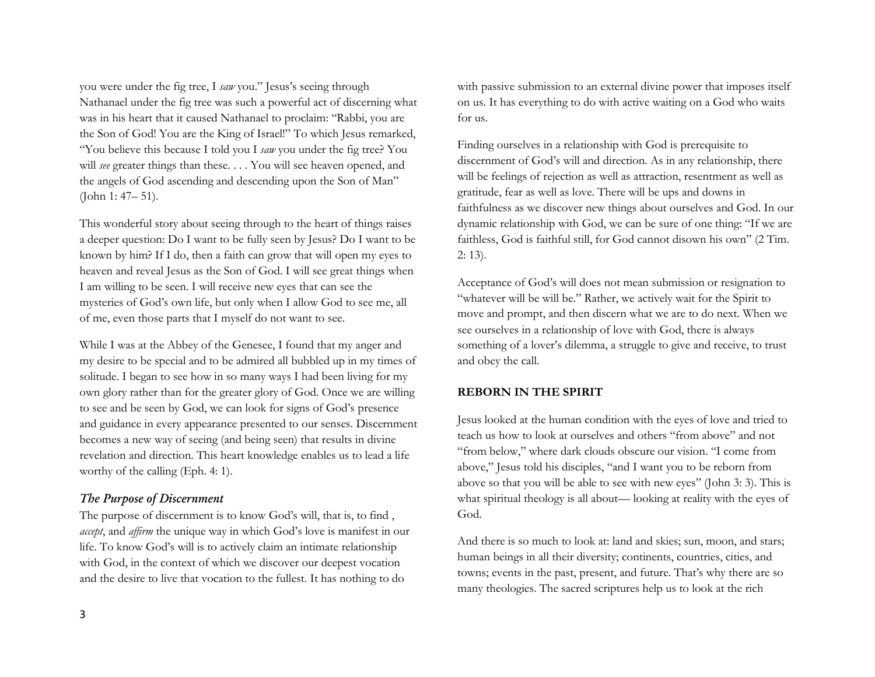you were under the fig tree, I *saw* you." Jesus's seeing through Nathanael under the fig tree was such a powerful act of discerning what was in his heart that it caused Nathanael to proclaim: "Rabbi, you are the Son of God! You are the King of Israel!" To which Jesus remarked, "You believe this because I told you I *saw* you under the fig tree? You will *see* greater things than these. . . . You will see heaven opened, and the angels of God ascending and descending upon the Son of Man" (John 1: 47– 51).

This wonderful story about seeing through to the heart of things raises a deeper question: Do I want to be fully seen by Jesus? Do I want to be known by him? If I do, then a faith can grow that will open my eyes to heaven and reveal Jesus as the Son of God. I will see great things when I am willing to be seen. I will receive new eyes that can see the mysteries of God's own life, but only when I allow God to see me, all of me, even those parts that I myself do not want to see.

While I was at the Abbey of the Genesee, I found that my anger and my desire to be special and to be admired all bubbled up in my times of solitude. I began to see how in so many ways I had been living for my own glory rather than for the greater glory of God. Once we are willing to see and be seen by God, we can look for signs of God's presence and guidance in every appearance presented to our senses. Discernment becomes a new way of seeing (and being seen) that results in divine revelation and direction. This heart knowledge enables us to lead a life worthy of the calling (Eph. 4: 1).

## *The Purpose of Discernment*

The purpose of discernment is to know God's will, that is, to find , *accept*, and *affirm* the unique way in which God's love is manifest in our life. To know God's will is to actively claim an intimate relationship with God, in the context of which we discover our deepest vocation and the desire to live that vocation to the fullest. It has nothing to do

with passive submission to an external divine power that imposes itself on us. It has everything to do with active waiting on a God who waits for us.

Finding ourselves in a relationship with God is prerequisite to discernment of God's will and direction. As in any relationship, there will be feelings of rejection as well as attraction, resentment as well as gratitude, fear as well as love. There will be ups and downs in faithfulness as we discover new things about ourselves and God. In our dynamic relationship with God, we can be sure of one thing: "If we are faithless, God is faithful still, for God cannot disown his own" (2 Tim. 2: 13).

Acceptance of God's will does not mean submission or resignation to "whatever will be will be." Rather, we actively wait for the Spirit to move and prompt, and then discern what we are to do next. When we see ourselves in a relationship of love with God, there is always something of a lover's dilemma, a struggle to give and receive, to trust and obey the call.

### **REBORN IN THE SPIRIT**

Jesus looked at the human condition with the eyes of love and tried to teach us how to look at ourselves and others "from above" and not "from below," where dark clouds obscure our vision. "I come from above," Jesus told his disciples, "and I want you to be reborn from above so that you will be able to see with new eyes" (John 3: 3). This is what spiritual theology is all about— looking at reality with the eyes of God.

And there is so much to look at: land and skies; sun, moon, and stars; human beings in all their diversity; continents, countries, cities, and towns; events in the past, present, and future. That's why there are so many theologies. The sacred scriptures help us to look at the rich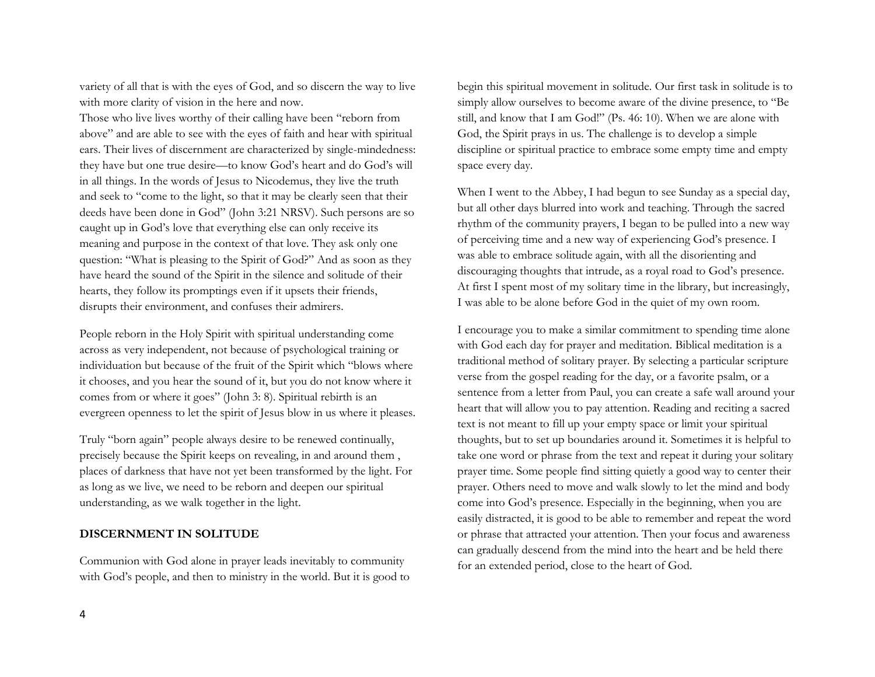variety of all that is with the eyes of God, and so discern the way to live with more clarity of vision in the here and now.

Those who live lives worthy of their calling have been "reborn from above" and are able to see with the eyes of faith and hear with spiritual ears. Their lives of discernment are characterized by single-mindedness: they have but one true desire—to know God's heart and do God's will in all things. In the words of Jesus to Nicodemus, they live the truth and seek to "come to the light, so that it may be clearly seen that their deeds have been done in God" (John 3:21 NRSV). Such persons are so caught up in God's love that everything else can only receive its meaning and purpose in the context of that love. They ask only one question: "What is pleasing to the Spirit of God?" And as soon as they have heard the sound of the Spirit in the silence and solitude of their hearts, they follow its promptings even if it upsets their friends, disrupts their environment, and confuses their admirers.

People reborn in the Holy Spirit with spiritual understanding come across as very independent, not because of psychological training or individuation but because of the fruit of the Spirit which "blows where it chooses, and you hear the sound of it, but you do not know where it comes from or where it goes" (John 3: 8). Spiritual rebirth is an evergreen openness to let the spirit of Jesus blow in us where it pleases.

Truly "born again" people always desire to be renewed continually, precisely because the Spirit keeps on revealing, in and around them , places of darkness that have not yet been transformed by the light. For as long as we live, we need to be reborn and deepen our spiritual understanding, as we walk together in the light.

### **DISCERNMENT IN SOLITUDE**

Communion with God alone in prayer leads inevitably to community with God's people, and then to ministry in the world. But it is good to

begin this spiritual movement in solitude. Our first task in solitude is to simply allow ourselves to become aware of the divine presence, to "Be still, and know that I am God!" (Ps. 46: 10). When we are alone with God, the Spirit prays in us. The challenge is to develop a simple discipline or spiritual practice to embrace some empty time and empty space every day.

When I went to the Abbey, I had begun to see Sunday as a special day, but all other days blurred into work and teaching. Through the sacred rhythm of the community prayers, I began to be pulled into a new way of perceiving time and a new way of experiencing God's presence. I was able to embrace solitude again, with all the disorienting and discouraging thoughts that intrude, as a royal road to God's presence. At first I spent most of my solitary time in the library, but increasingly, I was able to be alone before God in the quiet of my own room.

I encourage you to make a similar commitment to spending time alone with God each day for prayer and meditation. Biblical meditation is a traditional method of solitary prayer. By selecting a particular scripture verse from the gospel reading for the day, or a favorite psalm, or a sentence from a letter from Paul, you can create a safe wall around your heart that will allow you to pay attention. Reading and reciting a sacred text is not meant to fill up your empty space or limit your spiritual thoughts, but to set up boundaries around it. Sometimes it is helpful to take one word or phrase from the text and repeat it during your solitary prayer time. Some people find sitting quietly a good way to center their prayer. Others need to move and walk slowly to let the mind and body come into God's presence. Especially in the beginning, when you are easily distracted, it is good to be able to remember and repeat the word or phrase that attracted your attention. Then your focus and awareness can gradually descend from the mind into the heart and be held there for an extended period, close to the heart of God.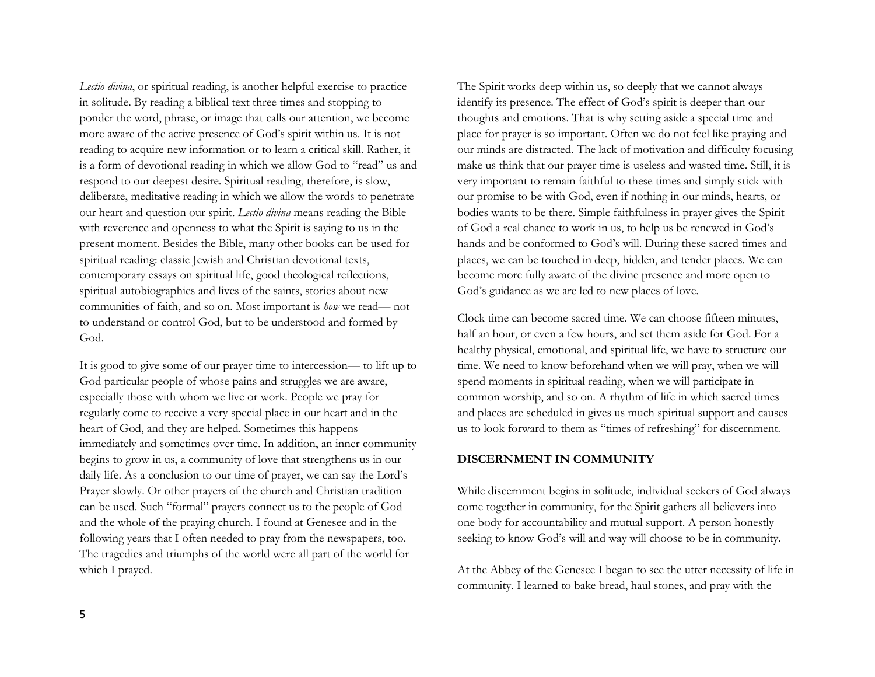*Lectio divina*, or spiritual reading, is another helpful exercise to practice in solitude. By reading a biblical text three times and stopping to ponder the word, phrase, or image that calls our attention, we become more aware of the active presence of God's spirit within us. It is not reading to acquire new information or to learn a critical skill. Rather, it is a form of devotional reading in which we allow God to "read" us and respond to our deepest desire. Spiritual reading, therefore, is slow, deliberate, meditative reading in which we allow the words to penetrate our heart and question our spirit. *Lectio divina* means reading the Bible with reverence and openness to what the Spirit is saying to us in the present moment. Besides the Bible, many other books can be used for spiritual reading: classic Jewish and Christian devotional texts, contemporary essays on spiritual life, good theological reflections, spiritual autobiographies and lives of the saints, stories about new communities of faith, and so on. Most important is *how* we read— not to understand or control God, but to be understood and formed by God.

It is good to give some of our prayer time to intercession— to lift up to God particular people of whose pains and struggles we are aware, especially those with whom we live or work. People we pray for regularly come to receive a very special place in our heart and in the heart of God, and they are helped. Sometimes this happens immediately and sometimes over time. In addition, an inner community begins to grow in us, a community of love that strengthens us in our daily life. As a conclusion to our time of prayer, we can say the Lord's Prayer slowly. Or other prayers of the church and Christian tradition can be used. Such "formal" prayers connect us to the people of God and the whole of the praying church. I found at Genesee and in the following years that I often needed to pray from the newspapers, too. The tragedies and triumphs of the world were all part of the world for which I prayed.

The Spirit works deep within us, so deeply that we cannot always identify its presence. The effect of God's spirit is deeper than our thoughts and emotions. That is why setting aside a special time and place for prayer is so important. Often we do not feel like praying and our minds are distracted. The lack of motivation and difficulty focusing make us think that our prayer time is useless and wasted time. Still, it is very important to remain faithful to these times and simply stick with our promise to be with God, even if nothing in our minds, hearts, or bodies wants to be there. Simple faithfulness in prayer gives the Spirit of God a real chance to work in us, to help us be renewed in God's hands and be conformed to God's will. During these sacred times and places, we can be touched in deep, hidden, and tender places. We can become more fully aware of the divine presence and more open to God's guidance as we are led to new places of love.

Clock time can become sacred time. We can choose fifteen minutes, half an hour, or even a few hours, and set them aside for God. For a healthy physical, emotional, and spiritual life, we have to structure our time. We need to know beforehand when we will pray, when we will spend moments in spiritual reading, when we will participate in common worship, and so on. A rhythm of life in which sacred times and places are scheduled in gives us much spiritual support and causes us to look forward to them as "times of refreshing" for discernment.

## **DISCERNMENT IN COMMUNITY**

While discernment begins in solitude, individual seekers of God always come together in community, for the Spirit gathers all believers into one body for accountability and mutual support. A person honestly seeking to know God's will and way will choose to be in community.

At the Abbey of the Genesee I began to see the utter necessity of life in community. I learned to bake bread, haul stones, and pray with the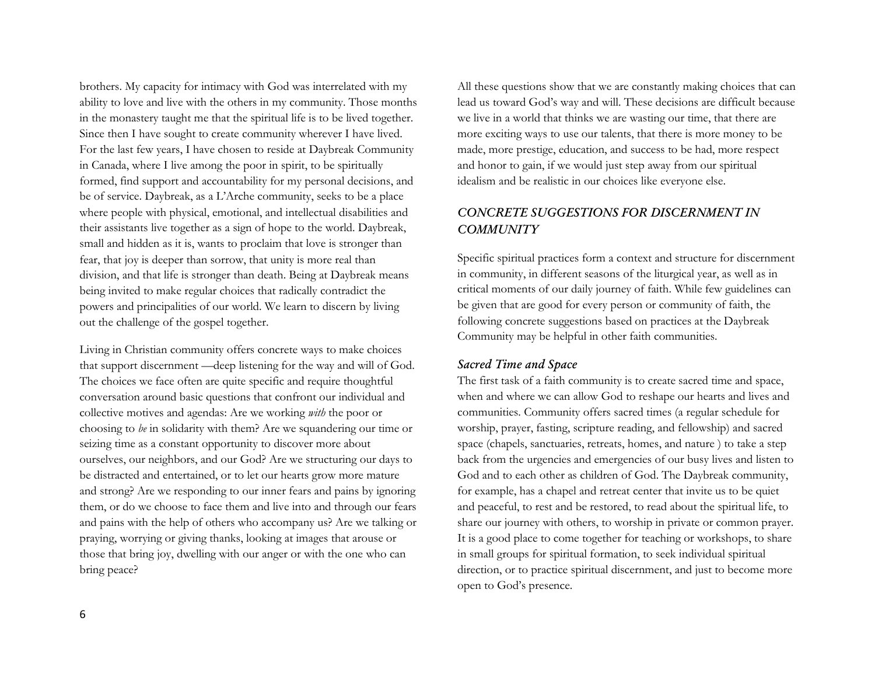brothers. My capacity for intimacy with God was interrelated with my ability to love and live with the others in my community. Those months in the monastery taught me that the spiritual life is to be lived together. Since then I have sought to create community wherever I have lived. For the last few years, I have chosen to reside at Daybreak Community in Canada, where I live among the poor in spirit, to be spiritually formed, find support and accountability for my personal decisions, and be of service. Daybreak, as a L'Arche community, seeks to be a place where people with physical, emotional, and intellectual disabilities and their assistants live together as a sign of hope to the world. Daybreak, small and hidden as it is, wants to proclaim that love is stronger than fear, that joy is deeper than sorrow, that unity is more real than division, and that life is stronger than death. Being at Daybreak means being invited to make regular choices that radically contradict the powers and principalities of our world. We learn to discern by living out the challenge of the gospel together.

Living in Christian community offers concrete ways to make choices that support discernment —deep listening for the way and will of God. The choices we face often are quite specific and require thoughtful conversation around basic questions that confront our individual and collective motives and agendas: Are we working *with* the poor or choosing to *be* in solidarity with them? Are we squandering our time or seizing time as a constant opportunity to discover more about ourselves, our neighbors, and our God? Are we structuring our days to be distracted and entertained, or to let our hearts grow more mature and strong? Are we responding to our inner fears and pains by ignoring them, or do we choose to face them and live into and through our fears and pains with the help of others who accompany us? Are we talking or praying, worrying or giving thanks, looking at images that arouse or those that bring joy, dwelling with our anger or with the one who can bring peace?

All these questions show that we are constantly making choices that can lead us toward God's way and will. These decisions are difficult because we live in a world that thinks we are wasting our time, that there are more exciting ways to use our talents, that there is more money to be made, more prestige, education, and success to be had, more respect and honor to gain, if we would just step away from our spiritual idealism and be realistic in our choices like everyone else.

# *CONCRETE SUGGESTIONS FOR DISCERNMENT IN COMMUNITY*

Specific spiritual practices form a context and structure for discernment in community, in different seasons of the liturgical year, as well as in critical moments of our daily journey of faith. While few guidelines can be given that are good for every person or community of faith, the following concrete suggestions based on practices at the Daybreak Community may be helpful in other faith communities.

# *Sacred Time and Space*

The first task of a faith community is to create sacred time and space, when and where we can allow God to reshape our hearts and lives and communities. Community offers sacred times (a regular schedule for worship, prayer, fasting, scripture reading, and fellowship) and sacred space (chapels, sanctuaries, retreats, homes, and nature ) to take a step back from the urgencies and emergencies of our busy lives and listen to God and to each other as children of God. The Daybreak community, for example, has a chapel and retreat center that invite us to be quiet and peaceful, to rest and be restored, to read about the spiritual life, to share our journey with others, to worship in private or common prayer. It is a good place to come together for teaching or workshops, to share in small groups for spiritual formation, to seek individual spiritual direction, or to practice spiritual discernment, and just to become more open to God's presence.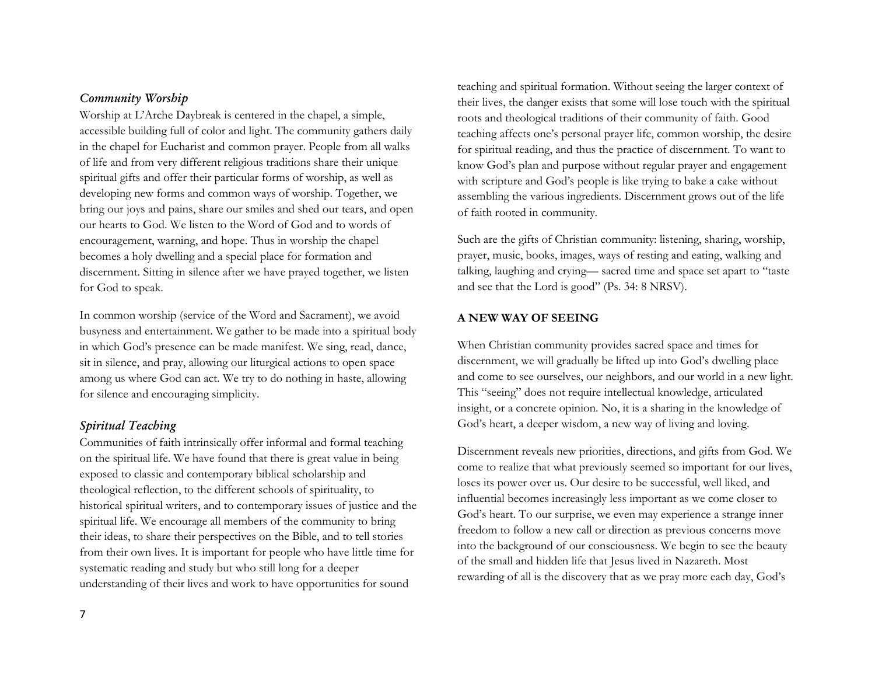## *Community Worship*

Worship at L'Arche Daybreak is centered in the chapel, a simple, accessible building full of color and light. The community gathers daily in the chapel for Eucharist and common prayer. People from all walks of life and from very different religious traditions share their unique spiritual gifts and offer their particular forms of worship, as well as developing new forms and common ways of worship. Together, we bring our joys and pains, share our smiles and shed our tears, and open our hearts to God. We listen to the Word of God and to words of encouragement, warning, and hope. Thus in worship the chapel becomes a holy dwelling and a special place for formation and discernment. Sitting in silence after we have prayed together, we listen for God to speak.

In common worship (service of the Word and Sacrament), we avoid busyness and entertainment. We gather to be made into a spiritual body in which God's presence can be made manifest. We sing, read, dance, sit in silence, and pray, allowing our liturgical actions to open space among us where God can act. We try to do nothing in haste, allowing for silence and encouraging simplicity.

# *Spiritual Teaching*

Communities of faith intrinsically offer informal and formal teaching on the spiritual life. We have found that there is great value in being exposed to classic and contemporary biblical scholarship and theological reflection, to the different schools of spirituality, to historical spiritual writers, and to contemporary issues of justice and the spiritual life. We encourage all members of the community to bring their ideas, to share their perspectives on the Bible, and to tell stories from their own lives. It is important for people who have little time for systematic reading and study but who still long for a deeper understanding of their lives and work to have opportunities for sound

teaching and spiritual formation. Without seeing the larger context of their lives, the danger exists that some will lose touch with the spiritual roots and theological traditions of their community of faith. Good teaching affects one's personal prayer life, common worship, the desire for spiritual reading, and thus the practice of discernment. To want to know God's plan and purpose without regular prayer and engagement with scripture and God's people is like trying to bake a cake without assembling the various ingredients. Discernment grows out of the life of faith rooted in community.

Such are the gifts of Christian community: listening, sharing, worship, prayer, music, books, images, ways of resting and eating, walking and talking, laughing and crying— sacred time and space set apart to "taste and see that the Lord is good" (Ps. 34: 8 NRSV).

### **A NEW WAY OF SEEING**

When Christian community provides sacred space and times for discernment, we will gradually be lifted up into God's dwelling place and come to see ourselves, our neighbors, and our world in a new light. This "seeing" does not require intellectual knowledge, articulated insight, or a concrete opinion. No, it is a sharing in the knowledge of God's heart, a deeper wisdom, a new way of living and loving.

Discernment reveals new priorities, directions, and gifts from God. We come to realize that what previously seemed so important for our lives, loses its power over us. Our desire to be successful, well liked, and influential becomes increasingly less important as we come closer to God's heart. To our surprise, we even may experience a strange inner freedom to follow a new call or direction as previous concerns move into the background of our consciousness. We begin to see the beauty of the small and hidden life that Jesus lived in Nazareth. Most rewarding of all is the discovery that as we pray more each day, God's